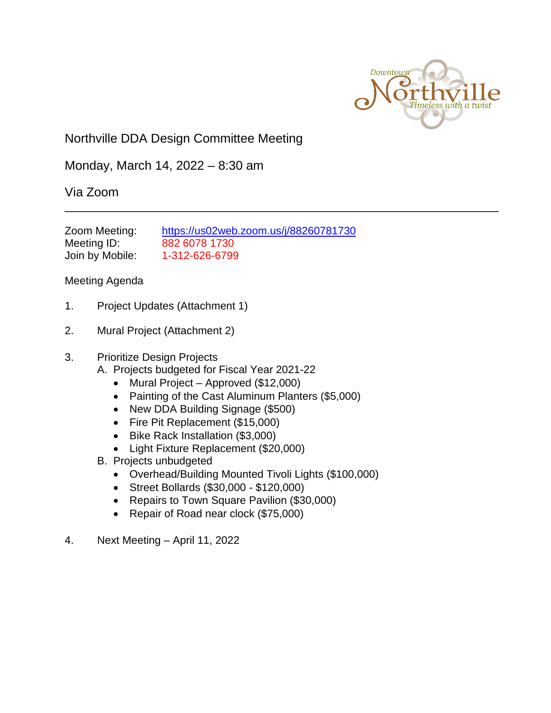

# Northville DDA Design Committee Meeting

Monday, March 14, 2022 – 8:30 am

## Via Zoom

| Zoom Meeting:   | https://us02web.zoom.us/j/88260781730 |
|-----------------|---------------------------------------|
| Meeting ID:     | 882 6078 1730                         |
| Join by Mobile: | 1-312-626-6799                        |

### Meeting Agenda

- 1. Project Updates (Attachment 1)
- 2. Mural Project (Attachment 2)

#### 3. Prioritize Design Projects

- A. Projects budgeted for Fiscal Year 2021-22
	- Mural Project Approved (\$12,000)
	- Painting of the Cast Aluminum Planters (\$5,000)
	- New DDA Building Signage (\$500)
	- Fire Pit Replacement (\$15,000)
	- Bike Rack Installation (\$3,000)
	- Light Fixture Replacement (\$20,000)
- B. Projects unbudgeted
	- Overhead/Building Mounted Tivoli Lights (\$100,000)
	- Street Bollards (\$30,000 \$120,000)
	- Repairs to Town Square Pavilion (\$30,000)
	- Repair of Road near clock (\$75,000)
- 4. Next Meeting April 11, 2022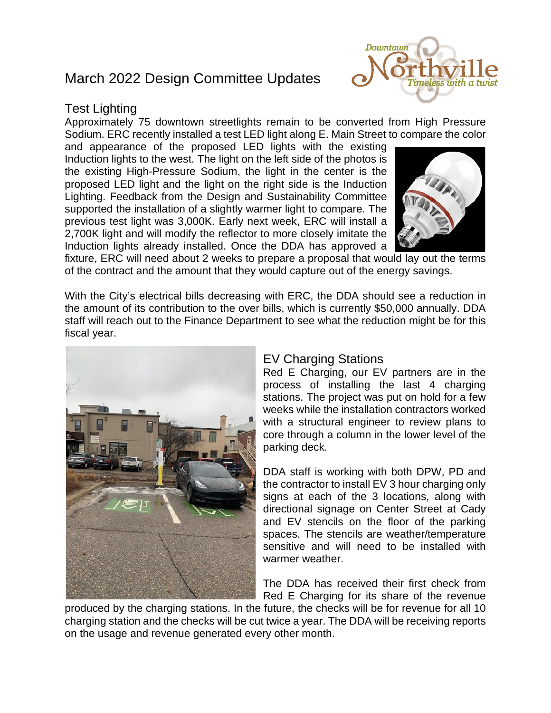# March 2022 Design Committee Updates

### Test Lighting

Approximately 75 downtown streetlights remain to be converted from High Pressure Sodium. ERC recently installed a test LED light along E. Main Street to compare the color

and appearance of the proposed LED lights with the existing Induction lights to the west. The light on the left side of the photos is the existing High-Pressure Sodium, the light in the center is the proposed LED light and the light on the right side is the Induction Lighting. Feedback from the Design and Sustainability Committee supported the installation of a slightly warmer light to compare. The previous test light was 3,000K. Early next week, ERC will install a 2,700K light and will modify the reflector to more closely imitate the Induction lights already installed. Once the DDA has approved a



fixture, ERC will need about 2 weeks to prepare a proposal that would lay out the terms of the contract and the amount that they would capture out of the energy savings.

With the City's electrical bills decreasing with ERC, the DDA should see a reduction in the amount of its contribution to the over bills, which is currently \$50,000 annually. DDA staff will reach out to the Finance Department to see what the reduction might be for this fiscal year.



## EV Charging Stations

Red E Charging, our EV partners are in the process of installing the last 4 charging stations. The project was put on hold for a few weeks while the installation contractors worked with a structural engineer to review plans to core through a column in the lower level of the parking deck.

DDA staff is working with both DPW, PD and the contractor to install EV 3 hour charging only signs at each of the 3 locations, along with directional signage on Center Street at Cady and EV stencils on the floor of the parking spaces. The stencils are weather/temperature sensitive and will need to be installed with warmer weather.

The DDA has received their first check from Red E Charging for its share of the revenue

produced by the charging stations. In the future, the checks will be for revenue for all 10 charging station and the checks will be cut twice a year. The DDA will be receiving reports on the usage and revenue generated every other month.